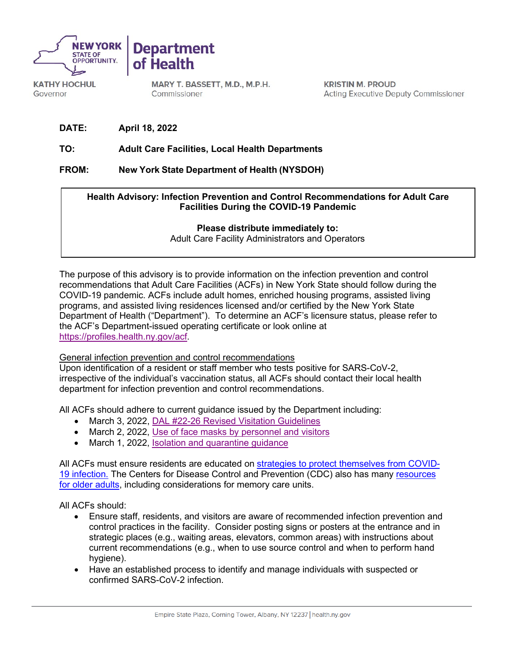



**KATHY HOCHUL** Governor

MARY T. BASSETT, M.D., M.P.H. Commissioner

**KRISTIN M. PROUD Acting Executive Deputy Commissioner** 

**DATE: April 18, 2022**

# **TO: Adult Care Facilities, Local Health Departments**

**FROM: New York State Department of Health (NYSDOH)**

# **Health Advisory: Infection Prevention and Control Recommendations for Adult Care Facilities During the COVID-19 Pandemic**

## **Please distribute immediately to:**

Adult Care Facility Administrators and Operators

The purpose of this advisory is to provide information on the infection prevention and control recommendations that Adult Care Facilities (ACFs) in New York State should follow during the COVID-19 pandemic. ACFs include adult homes, enriched housing programs, assisted living programs, and assisted living residences licensed and/or certified by the New York State Department of Health ("Department"). To determine an ACF's licensure status, please refer to the ACF's Department-issued operating certificate or look online at [https://profiles.health.ny.gov/acf.](https://profiles.health.ny.gov/acf)

### General infection prevention and control recommendations

Upon identification of a resident or staff member who tests positive for SARS-CoV-2, irrespective of the individual's vaccination status, all ACFs should contact their local health department for infection prevention and control recommendations.

All ACFs should adhere to current guidance issued by the Department including:

- March 3, 2022, [DAL #22-26 Revised Visitation Guidelines](https://commerce.health.state.ny.us/HCSRestServices/HCSContentServices/docs?docPath=/hcs_Documents/Source/hpn/hpnSrc/D95832EB567CB1E0E0530447A8C012E0.pdf)
- March 2, 2022, [Use of face masks by personnel and visitors](https://coronavirus.health.ny.gov/system/files/documents/2022/03/2.60-determination-5.0_3.2.22.pdf)
- March 1, 2022, [Isolation and quarantine guidance](https://coronavirus.health.ny.gov/system/files/documents/2022/03/quarantine-and-isolation-guidance_03.01.22.pdf)

All ACFs must ensure residents are educated on [strategies to protect themselves from COVID-](https://www.cdc.gov/coronavirus/2019-ncov/prevent-getting-sick/prevention.html)[19 infection.](https://www.cdc.gov/coronavirus/2019-ncov/prevent-getting-sick/prevention.html) The Centers for Disease Control and Prevention (CDC) also has many [resources](https://www.cdc.gov/aging/covid19-guidance.html)  [for older adults,](https://www.cdc.gov/aging/covid19-guidance.html) including considerations for memory care units.

All ACFs should:

- Ensure staff, residents, and visitors are aware of recommended infection prevention and control practices in the facility. Consider posting signs or posters at the entrance and in strategic places (e.g., waiting areas, elevators, common areas) with instructions about current recommendations (e.g., when to use source control and when to perform hand hygiene).
- Have an established process to identify and manage individuals with suspected or confirmed SARS-CoV-2 infection.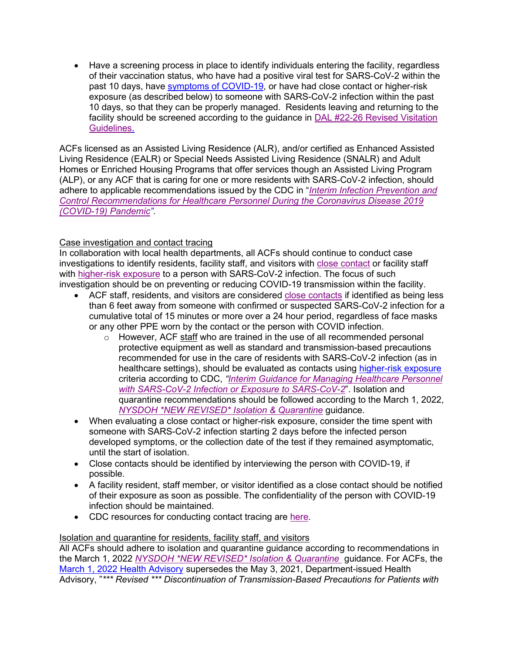• Have a screening process in place to identify individuals entering the facility, regardless of their vaccination status, who have had a positive viral test for SARS-CoV-2 within the past 10 days, have [symptoms of COVID-19,](https://www.cdc.gov/coronavirus/2019-ncov/symptoms-testing/symptoms.html) or have had close contact or higher-risk exposure (as described below) to someone with SARS-CoV-2 infection within the past 10 days, so that they can be properly managed. Residents leaving and returning to the facility should be screened according to the guidance in [DAL #22-26 Revised Visitation](https://commerce.health.state.ny.us/HCSRestServices/HCSContentServices/docs?docPath=/hcs_Documents/Source/hpn/hpnSrc/D95832EB567CB1E0E0530447A8C012E0.pdf)  [Guidelines.](https://commerce.health.state.ny.us/HCSRestServices/HCSContentServices/docs?docPath=/hcs_Documents/Source/hpn/hpnSrc/D95832EB567CB1E0E0530447A8C012E0.pdf)

ACFs licensed as an Assisted Living Residence (ALR), and/or certified as Enhanced Assisted Living Residence (EALR) or Special Needs Assisted Living Residence (SNALR) and Adult Homes or Enriched Housing Programs that offer services though an Assisted Living Program (ALP), or any ACF that is caring for one or more residents with SARS-CoV-2 infection, should adhere to applicable recommendations issued by the CDC in "*[Interim Infection Prevention and](https://www.cdc.gov/coronavirus/2019-ncov/hcp/infection-control-recommendations.html)  [Control Recommendations for Healthcare Personnel During the Coronavirus Disease 2019](https://www.cdc.gov/coronavirus/2019-ncov/hcp/infection-control-recommendations.html)  [\(COVID-19\) Pandemic"](https://www.cdc.gov/coronavirus/2019-ncov/hcp/infection-control-recommendations.html)*.

## Case investigation and contact tracing

In collaboration with local health departments, all ACFs should continue to conduct case investigations to identify residents, facility staff, and visitors with [close contact](https://www.cdc.gov/coronavirus/2019-ncov/daily-life-coping/determine-close-contacts.html) or facility staff with [higher-risk exposure](https://www.cdc.gov/coronavirus/2019-ncov/hcp/guidance-risk-assesment-hcp.html#:%7E:text=HCP%20can%20return%20to%20work,the%20time%20of%20planned%20return.) to a person with SARS-CoV-2 infection. The focus of such investigation should be on preventing or reducing COVID-19 transmission within the facility.

- ACF staff, residents, and visitors are considered [close contacts](https://www.cdc.gov/coronavirus/2019-ncov/daily-life-coping/determine-close-contacts.html) if identified as being less than 6 feet away from someone with confirmed or suspected SARS-CoV-2 infection for a cumulative total of 15 minutes or more over a 24 hour period, regardless of face masks or any other PPE worn by the contact or the person with COVID infection.
	- $\circ$  However, ACF staff who are trained in the use of all recommended personal protective equipment as well as standard and transmission-based precautions recommended for use in the care of residents with SARS-CoV-2 infection (as in healthcare settings), should be evaluated as contacts using [higher-risk exposure](https://www.cdc.gov/coronavirus/2019-ncov/hcp/guidance-risk-assesment-hcp.html) criteria according to CDC, *["Interim Guidance for Managing Healthcare Personnel](https://www.cdc.gov/coronavirus/2019-ncov/hcp/guidance-risk-assesment-hcp.html#:%7E:text=HCP%20can%20return%20to%20work,the%20time%20of%20planned%20return.)  [with SARS-CoV-2 Infection or Exposure to SARS-CoV-2](https://www.cdc.gov/coronavirus/2019-ncov/hcp/guidance-risk-assesment-hcp.html#:%7E:text=HCP%20can%20return%20to%20work,the%20time%20of%20planned%20return.)*". Isolation and quarantine recommendations should be followed according to the March 1, 2022, *[NYSDOH \\*NEW REVISED\\* Isolation & Quarantine](https://coronavirus.health.ny.gov/system/files/documents/2022/03/quarantine-and-isolation-guidance_03.01.22.pdf)* guidance.
- When evaluating a close contact or higher-risk exposure, consider the time spent with someone with SARS-CoV-2 infection starting 2 days before the infected person developed symptoms, or the collection date of the test if they remained asymptomatic, until the start of isolation.
- Close contacts should be identified by interviewing the person with COVID-19, if possible.
- A facility resident, staff member, or visitor identified as a close contact should be notified of their exposure as soon as possible. The confidentiality of the person with COVID-19 infection should be maintained.
- CDC resources for conducting contact tracing are [here.](https://www.cdc.gov/coronavirus/2019-ncov/php/contact-tracing/index.html#Guidance)

### Isolation and quarantine for residents, facility staff, and visitors

All ACFs should adhere to isolation and quarantine guidance according to recommendations in the March 1, 2022 *[NYSDOH \\*NEW REVISED\\* Isolation & Quarantine](https://coronavirus.health.ny.gov/system/files/documents/2022/03/quarantine-and-isolation-guidance_03.01.22.pdf)* guidance. For ACFs, the [March 1, 2022 Health Advisory](https://coronavirus.health.ny.gov/system/files/documents/2022/03/quarantine-and-isolation-guidance_03.01.22.pdf) supersedes the May 3, 2021, Department-issued Health Advisory, "*\*\*\* Revised \*\*\* Discontinuation of Transmission-Based Precautions for Patients with*